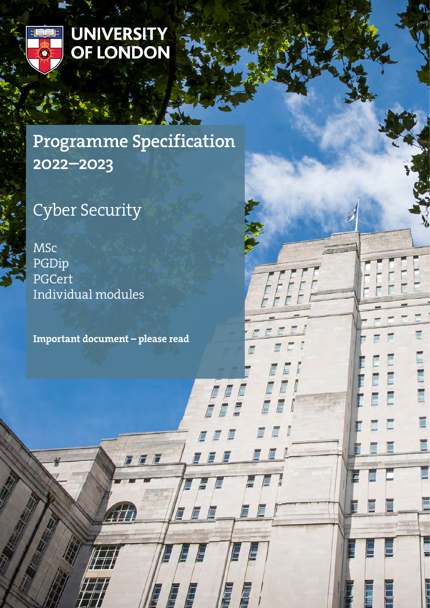

# UNIVERSITY<br>OF LONDON

# Programme Specification 2022–2023

# Cyber Security

MSc PGDip PGCert Individual modules

Important document – please read

FFF

E

E

E

E

E

E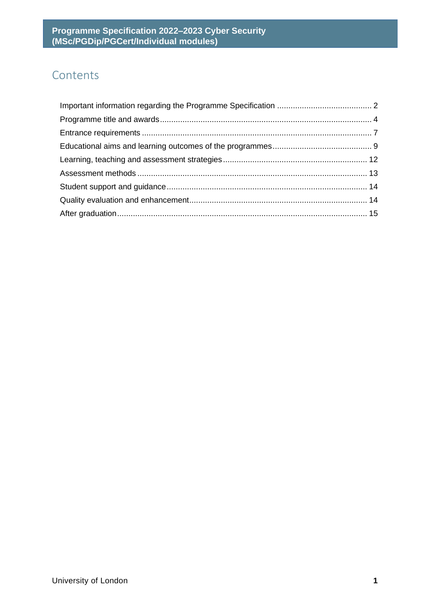# **Contents**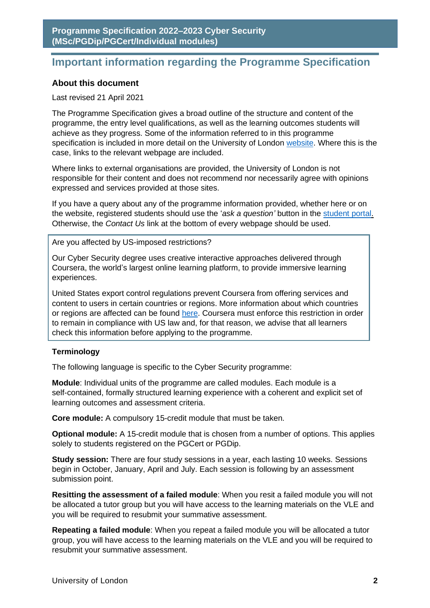# <span id="page-2-0"></span>**Important information regarding the Programme Specification**

#### **About this document**

#### Last revised 21 April 2021

The Programme Specification gives a broad outline of the structure and content of the programme, the entry level qualifications, as well as the learning outcomes students will achieve as they progress. Some of the information referred to in this programme specification is included in more detail on the University of London [website.](http://www.london.ac.uk/) Where this is the case, links to the relevant webpage are included.

Where links to external organisations are provided, the University of London is not responsible for their content and does not recommend nor necessarily agree with opinions expressed and services provided at those sites.

If you have a query about any of the programme information provided, whether here or on the website, registered students should use the '*ask a question'* button in the [student portal.](https://my.london.ac.uk/) Otherwise, the *Contact Us* link at the bottom of every webpage should be used.

Are you affected by US-imposed restrictions?

Our Cyber Security degree uses creative interactive approaches delivered through Coursera, the world's largest online learning platform, to provide immersive learning experiences.

United States export control regulations prevent Coursera from offering services and content to users in certain countries or regions. More information about which countries or regions are affected can be found [here.](https://www.coursera.support/s/article/208280116-International-restrictions?language=en_US) Coursera must enforce this restriction in order to remain in compliance with US law and, for that reason, we advise that all learners check this information before applying to the programme.

#### **Terminology**

The following language is specific to the Cyber Security programme:

**Module**: Individual units of the programme are called modules. Each module is a self-contained, formally structured learning experience with a coherent and explicit set of learning outcomes and assessment criteria.

**Core module:** A compulsory 15-credit module that must be taken.

**Optional module:** A 15-credit module that is chosen from a number of options. This applies solely to students registered on the PGCert or PGDip.

**Study session:** There are four study sessions in a year, each lasting 10 weeks. Sessions begin in October, January, April and July. Each session is following by an assessment submission point.

**Resitting the assessment of a failed module**: When you resit a failed module you will not be allocated a tutor group but you will have access to the learning materials on the VLE and you will be required to resubmit your summative assessment.

**Repeating a failed module**: When you repeat a failed module you will be allocated a tutor group, you will have access to the learning materials on the VLE and you will be required to resubmit your summative assessment.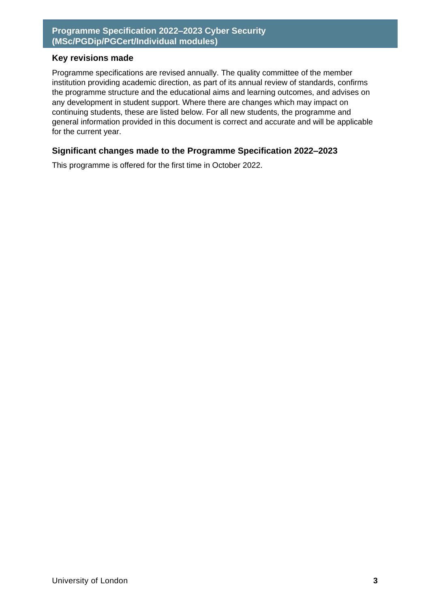#### **Key revisions made**

Programme specifications are revised annually. The quality committee of the member institution providing academic direction, as part of its annual review of standards, confirms the programme structure and the educational aims and learning outcomes, and advises on any development in student support. Where there are changes which may impact on continuing students, these are listed below. For all new students, the programme and general information provided in this document is correct and accurate and will be applicable for the current year.

#### **Significant changes made to the Programme Specification 2022–2023**

This programme is offered for the first time in October 2022.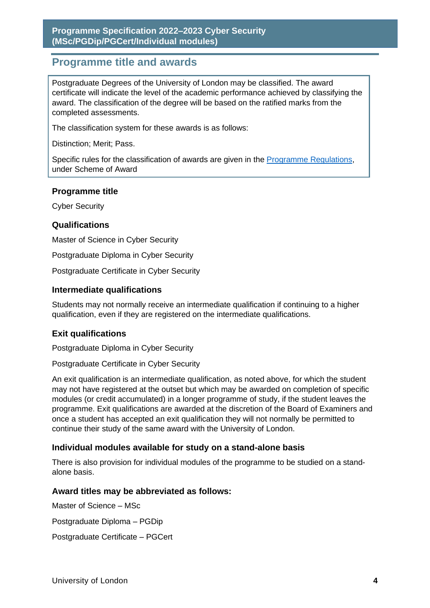# <span id="page-4-0"></span>**Programme title and awards**

Postgraduate Degrees of the University of London may be classified. The award certificate will indicate the level of the academic performance achieved by classifying the award. The classification of the degree will be based on the ratified marks from the completed assessments.

The classification system for these awards is as follows:

Distinction; Merit; Pass.

Specific rules for the classification of awards are given in the **Programme Regulations**, under Scheme of Award

#### **Programme title**

Cyber Security

#### **Qualifications**

Master of Science in Cyber Security

Postgraduate Diploma in Cyber Security

Postgraduate Certificate in Cyber Security

#### **Intermediate qualifications**

Students may not normally receive an intermediate qualification if continuing to a higher qualification, even if they are registered on the intermediate qualifications.

#### **Exit qualifications**

Postgraduate Diploma in Cyber Security

Postgraduate Certificate in Cyber Security

An exit qualification is an intermediate qualification, as noted above, for which the student may not have registered at the outset but which may be awarded on completion of specific modules (or credit accumulated) in a longer programme of study, if the student leaves the programme. Exit qualifications are awarded at the discretion of the Board of Examiners and once a student has accepted an exit qualification they will not normally be permitted to continue their study of the same award with the University of London.

#### **Individual modules available for study on a stand-alone basis**

There is also provision for individual modules of the programme to be studied on a standalone basis.

#### **Award titles may be abbreviated as follows:**

Master of Science – MSc

Postgraduate Diploma – PGDip

Postgraduate Certificate – PGCert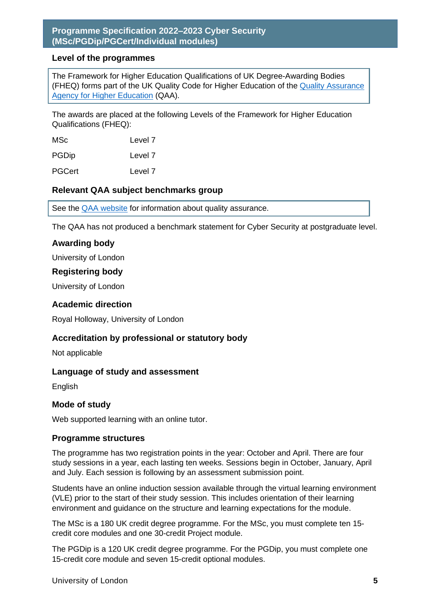#### **Level of the programmes**

The Framework for Higher Education Qualifications of UK Degree-Awarding Bodies (FHEQ) forms part of the UK Quality Code for Higher Education of the [Quality Assurance](http://www.qaa.ac.uk/en)  [Agency for Higher Education](http://www.qaa.ac.uk/en) (QAA).

The awards are placed at the following Levels of the Framework for Higher Education Qualifications (FHEQ):

MSc Level 7

PGDip Level 7

PGCert Level 7

#### **Relevant QAA subject benchmarks group**

See the **QAA** website for information about quality assurance.

The QAA has not produced a benchmark statement for Cyber Security at postgraduate level.

#### **Awarding body**

University of London

#### **Registering body**

University of London

#### **Academic direction**

Royal Holloway, University of London

#### **Accreditation by professional or statutory body**

Not applicable

#### **Language of study and assessment**

English

#### **Mode of study**

Web supported learning with an online tutor.

#### **Programme structures**

The programme has two registration points in the year: October and April. There are four study sessions in a year, each lasting ten weeks. Sessions begin in October, January, April and July. Each session is following by an assessment submission point.

Students have an online induction session available through the virtual learning environment (VLE) prior to the start of their study session. This includes orientation of their learning environment and guidance on the structure and learning expectations for the module.

The MSc is a 180 UK credit degree programme. For the MSc, you must complete ten 15 credit core modules and one 30-credit Project module.

The PGDip is a 120 UK credit degree programme. For the PGDip, you must complete one 15-credit core module and seven 15-credit optional modules.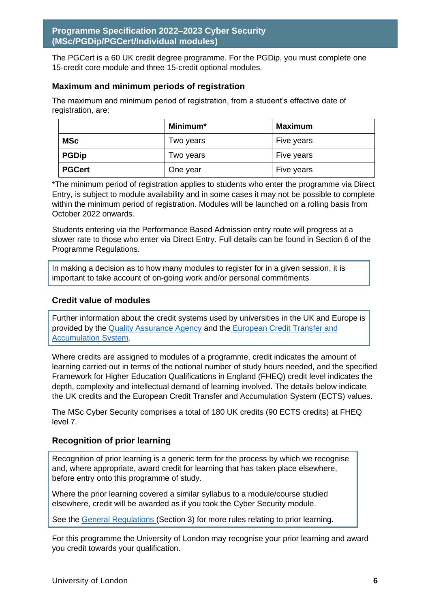The PGCert is a 60 UK credit degree programme. For the PGDip, you must complete one 15-credit core module and three 15-credit optional modules.

#### **Maximum and minimum periods of registration**

The maximum and minimum period of registration, from a student's effective date of registration, are:

|               | Minimum*  | <b>Maximum</b> |
|---------------|-----------|----------------|
| <b>MSc</b>    | Two years | Five years     |
| <b>PGDip</b>  | Two years | Five years     |
| <b>PGCert</b> | One year  | Five years     |

\*The minimum period of registration applies to students who enter the programme via Direct Entry, is subject to module availability and in some cases it may not be possible to complete within the minimum period of registration. Modules will be launched on a rolling basis from October 2022 onwards.

Students entering via the Performance Based Admission entry route will progress at a slower rate to those who enter via Direct Entry. Full details can be found in Section 6 of the Programme Regulations.

In making a decision as to how many modules to register for in a given session, it is important to take account of on-going work and/or personal commitments

#### **Credit value of modules**

Further information about the credit systems used by universities in the UK and Europe is provided by the [Quality Assurance Agency](http://www.qaa.ac.uk/en) and the [European Credit Transfer and](http://ec.europa.eu/education/resources/european-credit-transfer-accumulation-system_en.htm)  [Accumulation System.](http://ec.europa.eu/education/resources/european-credit-transfer-accumulation-system_en.htm)

Where credits are assigned to modules of a programme, credit indicates the amount of learning carried out in terms of the notional number of study hours needed, and the specified Framework for Higher Education Qualifications in England (FHEQ) credit level indicates the depth, complexity and intellectual demand of learning involved. The details below indicate the UK credits and the European Credit Transfer and Accumulation System (ECTS) values.

The MSc Cyber Security comprises a total of 180 UK credits (90 ECTS credits) at FHEQ level 7.

#### **Recognition of prior learning**

Recognition of prior learning is a generic term for the process by which we recognise and, where appropriate, award credit for learning that has taken place elsewhere, before entry onto this programme of study.

Where the prior learning covered a similar syllabus to a module/course studied elsewhere, credit will be awarded as if you took the Cyber Security module.

See the [General Regulations \(](file://///fileshare.universe.lon.ac.uk/NW-apps/Programme%20Information/Under%20development/MSc%20Project%20Management/Specification/london.ac.uk/regs)Section 3) for more rules relating to prior learning.

For this programme the University of London may recognise your prior learning and award you credit towards your qualification.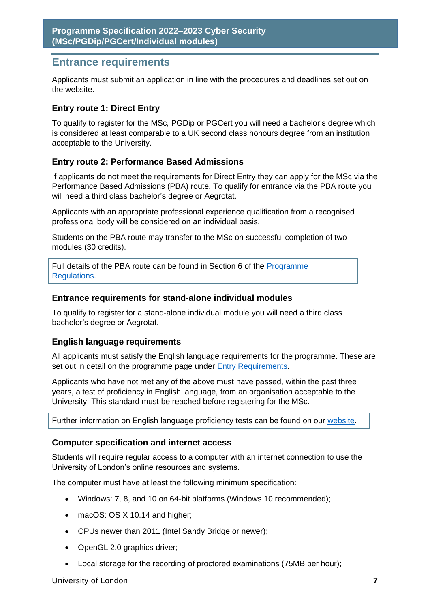# <span id="page-7-0"></span>**Entrance requirements**

Applicants must submit an application in line with the procedures and deadlines set out on the website.

#### **Entry route 1: Direct Entry**

To qualify to register for the MSc, PGDip or PGCert you will need a bachelor's degree which is considered at least comparable to a UK second class honours degree from an institution acceptable to the University.

#### **Entry route 2: Performance Based Admissions**

If applicants do not meet the requirements for Direct Entry they can apply for the MSc via the Performance Based Admissions (PBA) route. To qualify for entrance via the PBA route you will need a third class bachelor's degree or Aegrotat.

Applicants with an appropriate professional experience qualification from a recognised professional body will be considered on an individual basis.

Students on the PBA route may transfer to the MSc on successful completion of two modules (30 credits).

Full details of the PBA route can be found in Section 6 of the [Programme](https://london.ac.uk/current-students/programme-documents/regulations)  [Regulations.](https://london.ac.uk/current-students/programme-documents/regulations)

#### **Entrance requirements for stand-alone individual modules**

To qualify to register for a stand-alone individual module you will need a third class bachelor's degree or Aegrotat.

#### **English language requirements**

All applicants must satisfy the English language requirements for the programme. These are set out in detail on the programme page under [Entry Requirements.](https://london/cyber-security)

Applicants who have not met any of the above must have passed, within the past three years, a test of proficiency in English language, from an organisation acceptable to the University. This standard must be reached before registering for the MSc.

Further information on English language proficiency tests can be found on our [website.](https://london.ac.uk/applications/how-apply/english-requirements#awards-2563)

#### **Computer specification and internet access**

Students will require regular access to a computer with an internet connection to use the University of London's online resources and systems.

The computer must have at least the following minimum specification:

- Windows: 7, 8, and 10 on 64-bit platforms (Windows 10 recommended);
- macOS: OS X 10.14 and higher;
- CPUs newer than 2011 (Intel Sandy Bridge or newer);
- OpenGL 2.0 graphics driver;
- Local storage for the recording of proctored examinations (75MB per hour);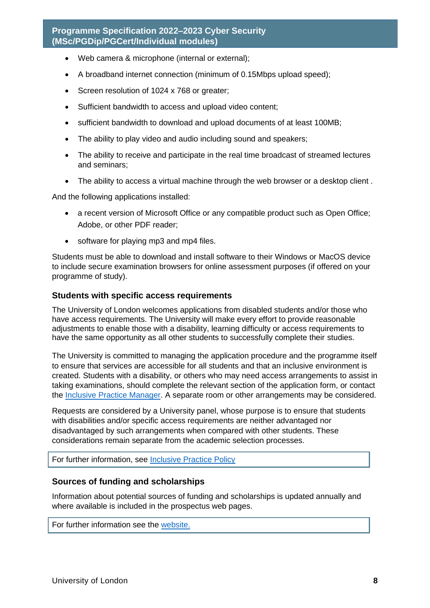- Web camera & microphone (internal or external);
- A broadband internet connection (minimum of 0.15Mbps upload speed);
- Screen resolution of 1024 x 768 or greater;
- Sufficient bandwidth to access and upload video content;
- sufficient bandwidth to download and upload documents of at least 100MB;
- The ability to play video and audio including sound and speakers;
- The ability to receive and participate in the real time broadcast of streamed lectures and seminars;
- The ability to access a virtual machine through the web browser or a desktop client.

And the following applications installed:

- a recent version of Microsoft Office or any compatible product such as Open Office; Adobe, or other PDF reader;
- software for playing mp3 and mp4 files.

Students must be able to download and install software to their Windows or MacOS device to include secure examination browsers for online assessment purposes (if offered on your programme of study).

#### **Students with specific access requirements**

The University of London welcomes applications from disabled students and/or those who have access requirements. The University will make every effort to provide reasonable adjustments to enable those with a disability, learning difficulty or access requirements to have the same opportunity as all other students to successfully complete their studies.

The University is committed to managing the application procedure and the programme itself to ensure that services are accessible for all students and that an inclusive environment is created. Students with a disability, or others who may need access arrangements to assist in taking examinations, should complete the relevant section of the application form, or contact the [Inclusive Practice Manager.](mailto:special.arrangements@london.ac.uk) A separate room or other arrangements may be considered.

Requests are considered by a University panel, whose purpose is to ensure that students with disabilities and/or specific access requirements are neither advantaged nor disadvantaged by such arrangements when compared with other students. These considerations remain separate from the academic selection processes.

For further information, see [Inclusive Practice Policy](https://london.ac.uk/applications/how-it-works/inclusive-practice-special-arrangements)

#### **Sources of funding and scholarships**

Information about potential sources of funding and scholarships is updated annually and where available is included in the prospectus web pages.

For further information see the [website.](https://london.ac.uk/applications/funding-your-study)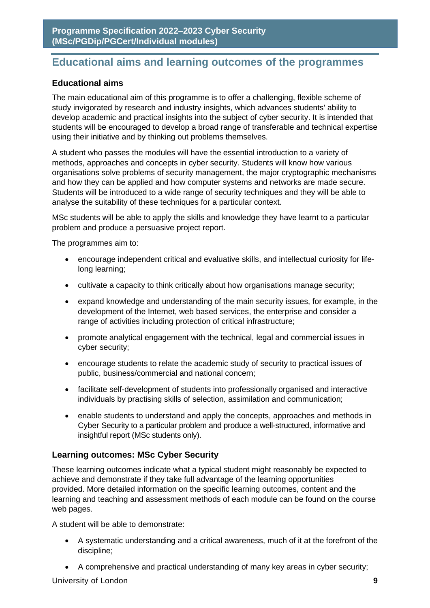# <span id="page-9-0"></span>**Educational aims and learning outcomes of the programmes**

#### **Educational aims**

The main educational aim of this programme is to offer a challenging, flexible scheme of study invigorated by research and industry insights, which advances students' ability to develop academic and practical insights into the subject of cyber security. It is intended that students will be encouraged to develop a broad range of transferable and technical expertise using their initiative and by thinking out problems themselves.

A student who passes the modules will have the essential introduction to a variety of methods, approaches and concepts in cyber security. Students will know how various organisations solve problems of security management, the major cryptographic mechanisms and how they can be applied and how computer systems and networks are made secure. Students will be introduced to a wide range of security techniques and they will be able to analyse the suitability of these techniques for a particular context.

MSc students will be able to apply the skills and knowledge they have learnt to a particular problem and produce a persuasive project report.

The programmes aim to:

- encourage independent critical and evaluative skills, and intellectual curiosity for lifelong learning;
- cultivate a capacity to think critically about how organisations manage security;
- expand knowledge and understanding of the main security issues, for example, in the development of the Internet, web based services, the enterprise and consider a range of activities including protection of critical infrastructure;
- promote analytical engagement with the technical, legal and commercial issues in cyber security;
- encourage students to relate the academic study of security to practical issues of public, business/commercial and national concern;
- facilitate self-development of students into professionally organised and interactive individuals by practising skills of selection, assimilation and communication;
- enable students to understand and apply the concepts, approaches and methods in Cyber Security to a particular problem and produce a well-structured, informative and insightful report (MSc students only).

#### **Learning outcomes: MSc Cyber Security**

These learning outcomes indicate what a typical student might reasonably be expected to achieve and demonstrate if they take full advantage of the learning opportunities provided. More detailed information on the specific learning outcomes, content and the learning and teaching and assessment methods of each module can be found on the course web pages.

A student will be able to demonstrate:

- A systematic understanding and a critical awareness, much of it at the forefront of the discipline;
- A comprehensive and practical understanding of many key areas in cyber security;

University of London **9**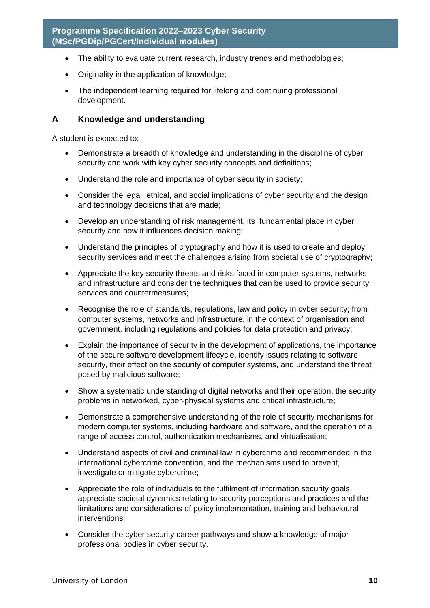- The ability to evaluate current research, industry trends and methodologies;
- Originality in the application of knowledge;
- The independent learning required for lifelong and continuing professional development.

#### **A Knowledge and understanding**

A student is expected to:

- Demonstrate a breadth of knowledge and understanding in the discipline of cyber security and work with key cyber security concepts and definitions;
- Understand the role and importance of cyber security in society;
- Consider the legal, ethical, and social implications of cyber security and the design and technology decisions that are made;
- Develop an understanding of risk management, its fundamental place in cyber security and how it influences decision making;
- Understand the principles of cryptography and how it is used to create and deploy security services and meet the challenges arising from societal use of cryptography;
- Appreciate the key security threats and risks faced in computer systems, networks and infrastructure and consider the techniques that can be used to provide security services and countermeasures;
- Recognise the role of standards, regulations, law and policy in cyber security; from computer systems, networks and infrastructure, in the context of organisation and government, including regulations and policies for data protection and privacy;
- Explain the importance of security in the development of applications, the importance of the secure software development lifecycle, identify issues relating to software security, their effect on the security of computer systems, and understand the threat posed by malicious software;
- Show a systematic understanding of digital networks and their operation, the security problems in networked, cyber-physical systems and critical infrastructure;
- Demonstrate a comprehensive understanding of the role of security mechanisms for modern computer systems, including hardware and software, and the operation of a range of access control, authentication mechanisms, and virtualisation;
- Understand aspects of civil and criminal law in cybercrime and recommended in the international cybercrime convention, and the mechanisms used to prevent, investigate or mitigate cybercrime;
- Appreciate the role of individuals to the fulfilment of information security goals, appreciate societal dynamics relating to security perceptions and practices and the limitations and considerations of policy implementation, training and behavioural interventions;
- Consider the cyber security career pathways and show **a** knowledge of major professional bodies in cyber security.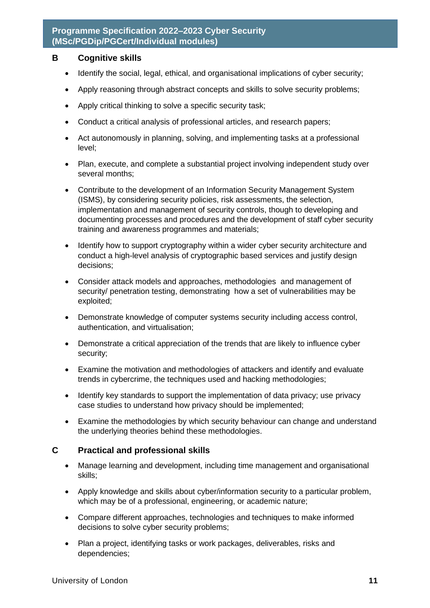#### **B Cognitive skills**

- Identify the social, legal, ethical, and organisational implications of cyber security;
- Apply reasoning through abstract concepts and skills to solve security problems;
- Apply critical thinking to solve a specific security task;
- Conduct a critical analysis of professional articles, and research papers;
- Act autonomously in planning, solving, and implementing tasks at a professional level;
- Plan, execute, and complete a substantial project involving independent study over several months;
- Contribute to the development of an Information Security Management System (ISMS), by considering security policies, risk assessments, the selection, implementation and management of security controls, though to developing and documenting processes and procedures and the development of staff cyber security training and awareness programmes and materials;
- Identify how to support cryptography within a wider cyber security architecture and conduct a high-level analysis of cryptographic based services and justify design decisions;
- Consider attack models and approaches, methodologies and management of security/ penetration testing, demonstrating how a set of vulnerabilities may be exploited;
- Demonstrate knowledge of computer systems security including access control, authentication, and virtualisation;
- Demonstrate a critical appreciation of the trends that are likely to influence cyber security;
- Examine the motivation and methodologies of attackers and identify and evaluate trends in cybercrime, the techniques used and hacking methodologies;
- Identify key standards to support the implementation of data privacy; use privacy case studies to understand how privacy should be implemented;
- Examine the methodologies by which security behaviour can change and understand the underlying theories behind these methodologies.

#### **C Practical and professional skills**

- Manage learning and development, including time management and organisational skills;
- Apply knowledge and skills about cyber/information security to a particular problem, which may be of a professional, engineering, or academic nature;
- Compare different approaches, technologies and techniques to make informed decisions to solve cyber security problems;
- Plan a project, identifying tasks or work packages, deliverables, risks and dependencies;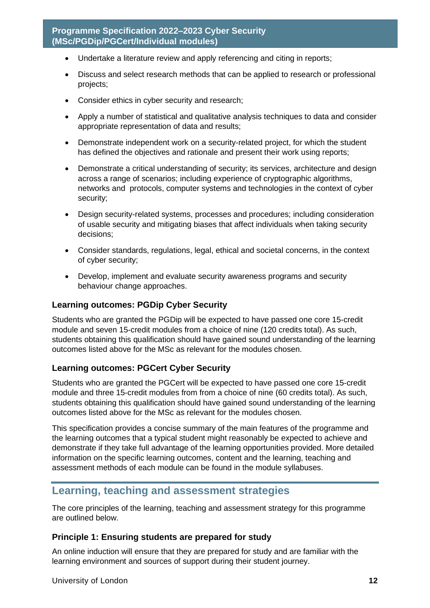- Undertake a literature review and apply referencing and citing in reports;
- Discuss and select research methods that can be applied to research or professional projects;
- Consider ethics in cyber security and research;
- Apply a number of statistical and qualitative analysis techniques to data and consider appropriate representation of data and results;
- Demonstrate independent work on a security-related project, for which the student has defined the objectives and rationale and present their work using reports;
- Demonstrate a critical understanding of security; its services, architecture and design across a range of scenarios; including experience of cryptographic algorithms, networks and protocols, computer systems and technologies in the context of cyber security;
- Design security-related systems, processes and procedures; including consideration of usable security and mitigating biases that affect individuals when taking security decisions;
- Consider standards, regulations, legal, ethical and societal concerns, in the context of cyber security;
- Develop, implement and evaluate security awareness programs and security behaviour change approaches.

#### **Learning outcomes: PGDip Cyber Security**

Students who are granted the PGDip will be expected to have passed one core 15-credit module and seven 15-credit modules from a choice of nine (120 credits total). As such, students obtaining this qualification should have gained sound understanding of the learning outcomes listed above for the MSc as relevant for the modules chosen.

#### **Learning outcomes: PGCert Cyber Security**

Students who are granted the PGCert will be expected to have passed one core 15-credit module and three 15-credit modules from from a choice of nine (60 credits total). As such, students obtaining this qualification should have gained sound understanding of the learning outcomes listed above for the MSc as relevant for the modules chosen.

This specification provides a concise summary of the main features of the programme and the learning outcomes that a typical student might reasonably be expected to achieve and demonstrate if they take full advantage of the learning opportunities provided. More detailed information on the specific learning outcomes, content and the learning, teaching and assessment methods of each module can be found in the module syllabuses.

# <span id="page-12-0"></span>**Learning, teaching and assessment strategies**

The core principles of the learning, teaching and assessment strategy for this programme are outlined below.

#### **Principle 1: Ensuring students are prepared for study**

An online induction will ensure that they are prepared for study and are familiar with the learning environment and sources of support during their student journey.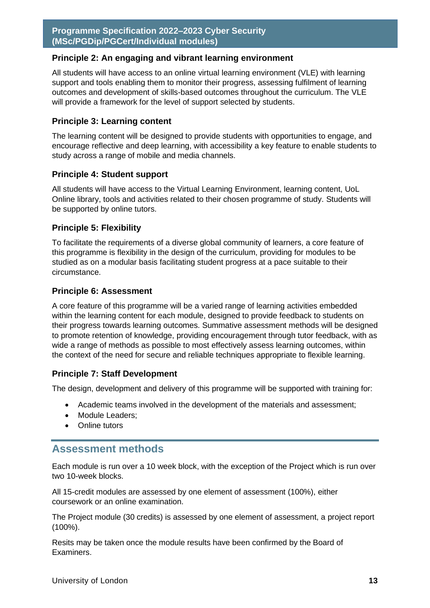#### **Principle 2: An engaging and vibrant learning environment**

All students will have access to an online virtual learning environment (VLE) with learning support and tools enabling them to monitor their progress, assessing fulfilment of learning outcomes and development of skills-based outcomes throughout the curriculum. The VLE will provide a framework for the level of support selected by students.

#### **Principle 3: Learning content**

The learning content will be designed to provide students with opportunities to engage, and encourage reflective and deep learning, with accessibility a key feature to enable students to study across a range of mobile and media channels.

#### **Principle 4: Student support**

All students will have access to the Virtual Learning Environment, learning content, UoL Online library, tools and activities related to their chosen programme of study. Students will be supported by online tutors.

#### **Principle 5: Flexibility**

To facilitate the requirements of a diverse global community of learners, a core feature of this programme is flexibility in the design of the curriculum, providing for modules to be studied as on a modular basis facilitating student progress at a pace suitable to their circumstance.

#### **Principle 6: Assessment**

A core feature of this programme will be a varied range of learning activities embedded within the learning content for each module, designed to provide feedback to students on their progress towards learning outcomes. Summative assessment methods will be designed to promote retention of knowledge, providing encouragement through tutor feedback, with as wide a range of methods as possible to most effectively assess learning outcomes, within the context of the need for secure and reliable techniques appropriate to flexible learning.

#### **Principle 7: Staff Development**

The design, development and delivery of this programme will be supported with training for:

- Academic teams involved in the development of the materials and assessment;
- Module Leaders:
- Online tutors

### <span id="page-13-0"></span>**Assessment methods**

Each module is run over a 10 week block, with the exception of the Project which is run over two 10-week blocks.

All 15-credit modules are assessed by one element of assessment (100%), either coursework or an online examination.

The Project module (30 credits) is assessed by one element of assessment, a project report (100%).

Resits may be taken once the module results have been confirmed by the Board of Examiners.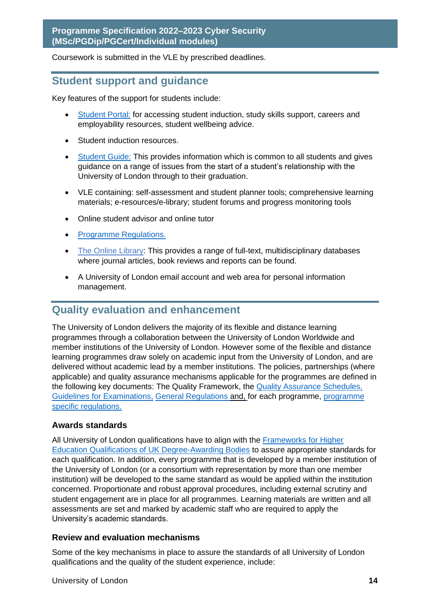Coursework is submitted in the VLE by prescribed deadlines.

# <span id="page-14-0"></span>**Student support and guidance**

Key features of the support for students include:

- [Student Portal:](file://///fileshare/NW-apps/Programme%20Information/Programme%20Specifications/PS%202020-21/2020-2021_Templates/my.london.ac.uk) for accessing student induction, study skills support, careers and employability resources, student wellbeing advice.
- Student induction resources.
- [Student Guide:](https://my.london.ac.uk/documents/10197/2676152/Student+Guide/07f72f0b-fd7d-cc23-603f-db6c31bfa5e2) This provides information which is common to all students and gives guidance on a range of issues from the start of a student's relationship with the University of London through to their graduation.
- VLE containing: self-assessment and student planner tools; comprehensive learning materials; e-resources/e-library; student forums and progress monitoring tools
- Online student advisor and online tutor
- [Programme Regulations.](http://www.london.ac.uk/regs)
- [The Online Library:](http://www.london.ac.uk/community-support-resources/current-students/online-library) This provides a range of full-text, multidisciplinary databases where journal articles, book reviews and reports can be found.
- A University of London email account and web area for personal information management.

# <span id="page-14-1"></span>**Quality evaluation and enhancement**

The University of London delivers the majority of its flexible and distance learning programmes through a collaboration between the University of London Worldwide and member institutions of the University of London. However some of the flexible and distance learning programmes draw solely on academic input from the University of London, and are delivered without academic lead by a member institutions. The policies, partnerships (where applicable) and quality assurance mechanisms applicable for the programmes are defined in the following key documents: The Quality Framework, the [Quality Assurance Schedules,](https://london.ac.uk/about-us/academic-quality)  [Guidelines for Examinations,](https://london.ac.uk/support-examiners) General Regulations and, [for each programme, programme](http://www.london.ac.uk/regs)  [specific regulations.](http://www.london.ac.uk/regs)

#### **Awards standards**

All University of London qualifications have to align with the [Frameworks for Higher](https://www.qaa.ac.uk/docs/qaa/quality-code/qualifications-frameworks.pdf)  [Education Qualifications of UK Degree-Awarding Bodies](https://www.qaa.ac.uk/docs/qaa/quality-code/qualifications-frameworks.pdf) to assure appropriate standards for each qualification. In addition, every programme that is developed by a member institution of the University of London (or a consortium with representation by more than one member institution) will be developed to the same standard as would be applied within the institution concerned. Proportionate and robust approval procedures, including external scrutiny and student engagement are in place for all programmes. Learning materials are written and all assessments are set and marked by academic staff who are required to apply the University's academic standards.

#### **Review and evaluation mechanisms**

Some of the key mechanisms in place to assure the standards of all University of London qualifications and the quality of the student experience, include: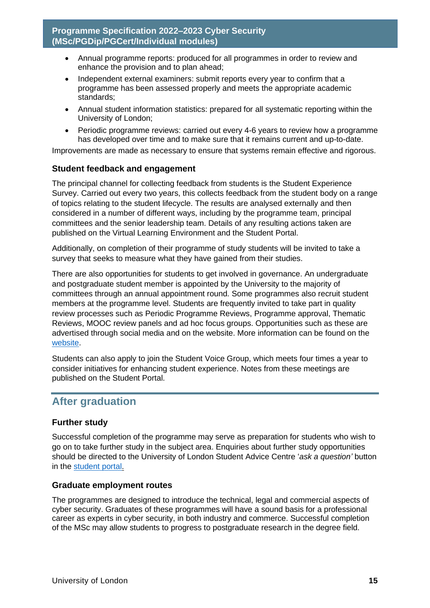- Annual programme reports: produced for all programmes in order to review and enhance the provision and to plan ahead;
- Independent external examiners: submit reports every year to confirm that a programme has been assessed properly and meets the appropriate academic standards;
- Annual student information statistics: prepared for all systematic reporting within the University of London;
- Periodic programme reviews: carried out every 4-6 years to review how a programme has developed over time and to make sure that it remains current and up-to-date.

Improvements are made as necessary to ensure that systems remain effective and rigorous.

#### **Student feedback and engagement**

The principal channel for collecting feedback from students is the Student Experience Survey. Carried out every two years, this collects feedback from the student body on a range of topics relating to the student lifecycle. The results are analysed externally and then considered in a number of different ways, including by the programme team, principal committees and the senior leadership team. Details of any resulting actions taken are published on the Virtual Learning Environment and the Student Portal.

Additionally, on completion of their programme of study students will be invited to take a survey that seeks to measure what they have gained from their studies.

There are also opportunities for students to get involved in governance. An undergraduate and postgraduate student member is appointed by the University to the majority of committees through an annual appointment round. Some programmes also recruit student members at the programme level. Students are frequently invited to take part in quality review processes such as Periodic Programme Reviews, Programme approval, Thematic Reviews, MOOC review panels and ad hoc focus groups. Opportunities such as these are advertised through social media and on the website. More information can be found on the [website.](https://london.ac.uk/current-students/getting-involved)

Students can also apply to join the Student Voice Group, which meets four times a year to consider initiatives for enhancing student experience. Notes from these meetings are published on the Student Portal.

# <span id="page-15-0"></span>**After graduation**

#### **Further study**

Successful completion of the programme may serve as preparation for students who wish to go on to take further study in the subject area. Enquiries about further study opportunities should be directed to the University of London Student Advice Centre '*ask a question'* button in the [student portal.](https://my.london.ac.uk/)

#### **Graduate employment routes**

The programmes are designed to introduce the technical, legal and commercial aspects of cyber security. Graduates of these programmes will have a sound basis for a professional career as experts in cyber security, in both industry and commerce. Successful completion of the MSc may allow students to progress to postgraduate research in the degree field.